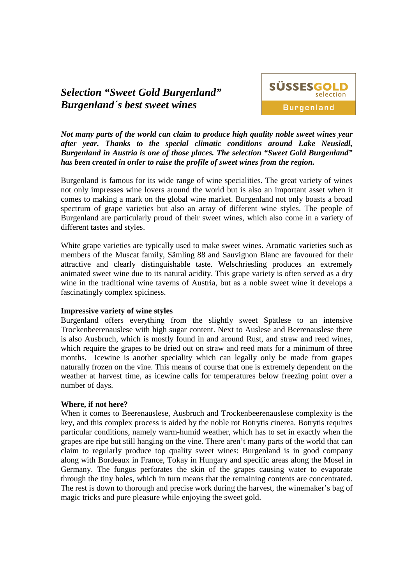# *Selection "Sweet Gold Burgenland" Burgenland´s best sweet wines*



*Not many parts of the world can claim to produce high quality noble sweet wines year after year. Thanks to the special climatic conditions around Lake Neusiedl, Burgenland in Austria is one of those places. The selection "Sweet Gold Burgenland" has been created in order to raise the profile of sweet wines from the region.* 

Burgenland is famous for its wide range of wine specialities. The great variety of wines not only impresses wine lovers around the world but is also an important asset when it comes to making a mark on the global wine market. Burgenland not only boasts a broad spectrum of grape varieties but also an array of different wine styles. The people of Burgenland are particularly proud of their sweet wines, which also come in a variety of different tastes and styles.

White grape varieties are typically used to make sweet wines. Aromatic varieties such as members of the Muscat family, Sämling 88 and Sauvignon Blanc are favoured for their attractive and clearly distinguishable taste. Welschriesling produces an extremely animated sweet wine due to its natural acidity. This grape variety is often served as a dry wine in the traditional wine taverns of Austria, but as a noble sweet wine it develops a fascinatingly complex spiciness.

## **Impressive variety of wine styles**

Burgenland offers everything from the slightly sweet Spätlese to an intensive Trockenbeerenauslese with high sugar content. Next to Auslese and Beerenauslese there is also Ausbruch, which is mostly found in and around Rust, and straw and reed wines, which require the grapes to be dried out on straw and reed mats for a minimum of three months. Icewine is another speciality which can legally only be made from grapes naturally frozen on the vine. This means of course that one is extremely dependent on the weather at harvest time, as icewine calls for temperatures below freezing point over a number of days.

## **Where, if not here?**

When it comes to Beerenauslese, Ausbruch and Trockenbeerenauslese complexity is the key, and this complex process is aided by the noble rot Botrytis cinerea. Botrytis requires particular conditions, namely warm-humid weather, which has to set in exactly when the grapes are ripe but still hanging on the vine. There aren't many parts of the world that can claim to regularly produce top quality sweet wines: Burgenland is in good company along with Bordeaux in France, Tokay in Hungary and specific areas along the Mosel in Germany. The fungus perforates the skin of the grapes causing water to evaporate through the tiny holes, which in turn means that the remaining contents are concentrated. The rest is down to thorough and precise work during the harvest, the winemaker's bag of magic tricks and pure pleasure while enjoying the sweet gold.